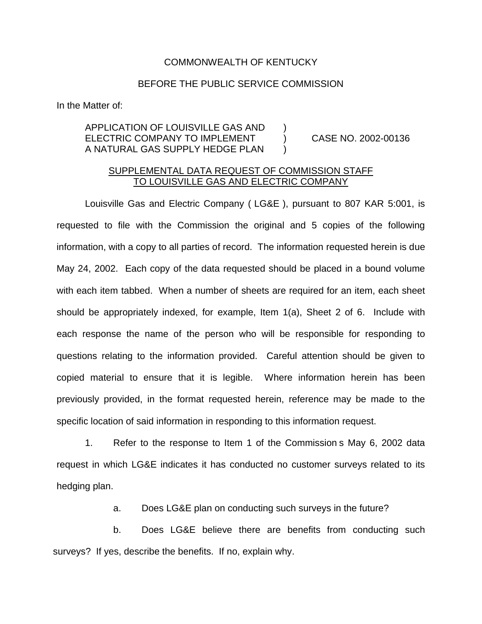## COMMONWEALTH OF KENTUCKY

## BEFORE THE PUBLIC SERVICE COMMISSION

In the Matter of:

## APPLICATION OF LOUISVILLE GAS AND ) ELECTRIC COMPANY TO IMPLEMENT (2002-00136) A NATURAL GAS SUPPLY HEDGE PLAN )

## SUPPLEMENTAL DATA REQUEST OF COMMISSION STAFF TO LOUISVILLE GAS AND ELECTRIC COMPANY

Louisville Gas and Electric Company ( LG&E ), pursuant to 807 KAR 5:001, is requested to file with the Commission the original and 5 copies of the following information, with a copy to all parties of record. The information requested herein is due May 24, 2002. Each copy of the data requested should be placed in a bound volume with each item tabbed. When a number of sheets are required for an item, each sheet should be appropriately indexed, for example, Item 1(a), Sheet 2 of 6. Include with each response the name of the person who will be responsible for responding to questions relating to the information provided. Careful attention should be given to copied material to ensure that it is legible. Where information herein has been previously provided, in the format requested herein, reference may be made to the specific location of said information in responding to this information request.

1. Refer to the response to Item 1 of the Commission s May 6, 2002 data request in which LG&E indicates it has conducted no customer surveys related to its hedging plan.

a. Does LG&E plan on conducting such surveys in the future?

b. Does LG&E believe there are benefits from conducting such surveys? If yes, describe the benefits. If no, explain why.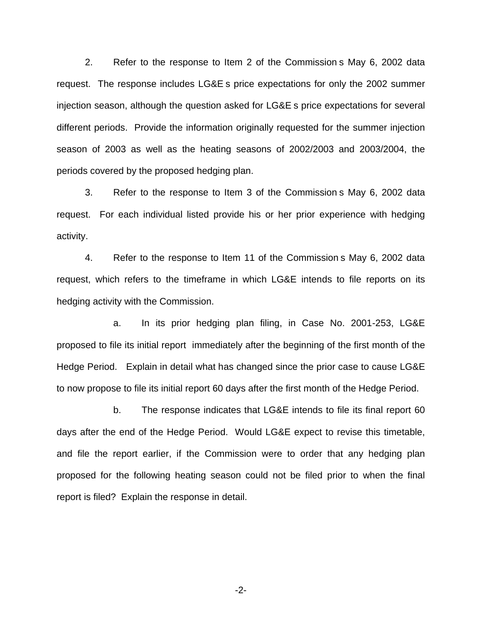2. Refer to the response to Item 2 of the Commission s May 6, 2002 data request. The response includes LG&E s price expectations for only the 2002 summer injection season, although the question asked for LG&E s price expectations for several different periods. Provide the information originally requested for the summer injection season of 2003 as well as the heating seasons of 2002/2003 and 2003/2004, the periods covered by the proposed hedging plan.

3. Refer to the response to Item 3 of the Commission s May 6, 2002 data request. For each individual listed provide his or her prior experience with hedging activity.

4. Refer to the response to Item 11 of the Commission s May 6, 2002 data request, which refers to the timeframe in which LG&E intends to file reports on its hedging activity with the Commission.

a. In its prior hedging plan filing, in Case No. 2001-253, LG&E proposed to file its initial report immediately after the beginning of the first month of the Hedge Period. Explain in detail what has changed since the prior case to cause LG&E to now propose to file its initial report 60 days after the first month of the Hedge Period.

b. The response indicates that LG&E intends to file its final report 60 days after the end of the Hedge Period. Would LG&E expect to revise this timetable, and file the report earlier, if the Commission were to order that any hedging plan proposed for the following heating season could not be filed prior to when the final report is filed? Explain the response in detail.

-2-